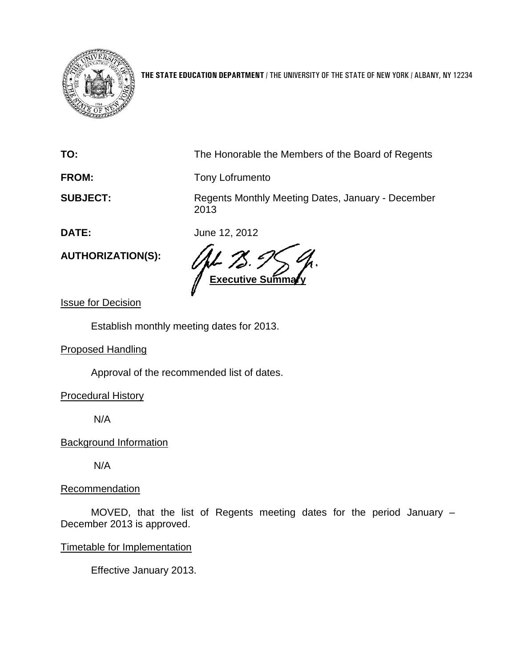

**THE STATE EDUCATION DEPARTMENT** / THE UNIVERSITY OF THE STATE OF NEW YORK / ALBANY, NY 12234

**TO:** The Honorable the Members of the Board of Regents

FROM: Tony Lofrumento

**SUBJECT:** Regents Monthly Meeting Dates, January - December 2013

**DATE:** June 12, 2012

**Executive Summary** 

Issue for Decision

**AUTHORIZATION(S):**

Establish monthly meeting dates for 2013.

Proposed Handling

Approval of the recommended list of dates.

Procedural History

N/A

Background Information

N/A

## **Recommendation**

MOVED, that the list of Regents meeting dates for the period January – December 2013 is approved.

## Timetable for Implementation

Effective January 2013.